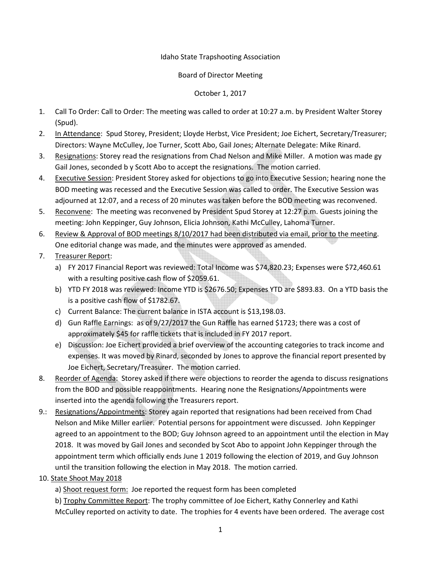## Idaho State Trapshooting Association

## Board of Director Meeting

## October 1, 2017

- 1. Call To Order: Call to Order: The meeting was called to order at 10:27 a.m. by President Walter Storey (Spud).
- 2. In Attendance: Spud Storey, President; Lloyde Herbst, Vice President; Joe Eichert, Secretary/Treasurer; Directors: Wayne McCulley, Joe Turner, Scott Abo, Gail Jones; Alternate Delegate: Mike Rinard.
- 3. Resignations: Storey read the resignations from Chad Nelson and Mike Miller. A motion was made gy Gail Jones, seconded b y Scott Abo to accept the resignations. The motion carried.
- 4. Executive Session: President Storey asked for objections to go into Executive Session; hearing none the BOD meeting was recessed and the Executive Session was called to order. The Executive Session was adjourned at 12:07, and a recess of 20 minutes was taken before the BOD meeting was reconvened.
- 5. Reconvene: The meeting was reconvened by President Spud Storey at 12:27 p.m. Guests joining the meeting: John Keppinger, Guy Johnson, Elicia Johnson, Kathi McCulley, Lahoma Turner.
- 6. Review & Approval of BOD meetings 8/10/2017 had been distributed via email, prior to the meeting. One editorial change was made, and the minutes were approved as amended.
- 7. Treasurer Report:
	- a) FY 2017 Financial Report was reviewed: Total Income was \$74,820.23; Expenses were \$72,460.61 with a resulting positive cash flow of \$2059.61.
	- b) YTD FY 2018 was reviewed: Income YTD is \$2676.50; Expenses YTD are \$893.83. On a YTD basis the is a positive cash flow of \$1782.67.
	- c) Current Balance: The current balance in ISTA account is \$13,198.03.
	- d) Gun Raffle Earnings: as of 9/27/2017 the Gun Raffle has earned \$1723; there was a cost of approximately \$45 for raffle tickets that is included in FY 2017 report.
	- e) Discussion: Joe Eichert provided a brief overview of the accounting categories to track income and expenses. It was moved by Rinard, seconded by Jones to approve the financial report presented by Joe Eichert, Secretary/Treasurer. The motion carried.
- 8. Reorder of Agenda: Storey asked if there were objections to reorder the agenda to discuss resignations from the BOD and possible reappointments. Hearing none the Resignations/Appointments were inserted into the agenda following the Treasurers report.
- 9.: Resignations/Appointments: Storey again reported that resignations had been received from Chad Nelson and Mike Miller earlier. Potential persons for appointment were discussed. John Keppinger agreed to an appointment to the BOD; Guy Johnson agreed to an appointment until the election in May 2018. It was moved by Gail Jones and seconded by Scot Abo to appoint John Keppinger through the appointment term which officially ends June 1 2019 following the election of 2019, and Guy Johnson until the transition following the election in May 2018. The motion carried.
- 10. State Shoot May 2018
	- a) Shoot request form: Joe reported the request form has been completed
	- b) Trophy Committee Report: The trophy committee of Joe Eichert, Kathy Connerley and Kathi McCulley reported on activity to date. The trophies for 4 events have been ordered. The average cost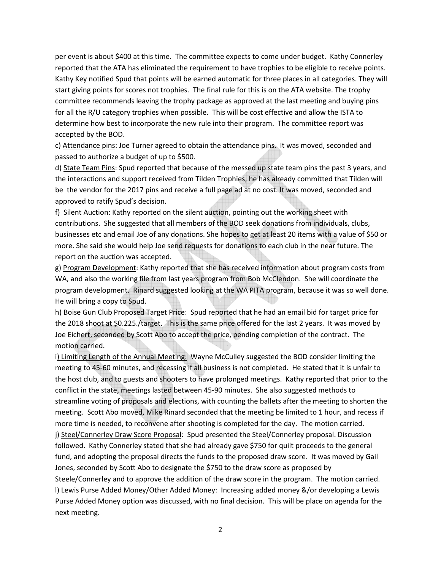per event is about \$400 at this time. The committee expects to come under budget. Kathy Connerley reported that the ATA has eliminated the requirement to have trophies to be eligible to receive points. Kathy Key notified Spud that points will be earned automatic for three places in all categories. They will start giving points for scores not trophies. The final rule for this is on the ATA website. The trophy committee recommends leaving the trophy package as approved at the last meeting and buying pins for all the R/U category trophies when possible. This will be cost effective and allow the ISTA to determine how best to incorporate the new rule into their program. The committee report was accepted by the BOD.

 c) Attendance pins: Joe Turner agreed to obtain the attendance pins. It was moved, seconded and passed to authorize a budget of up to \$500.

 d) State Team Pins: Spud reported that because of the messed up state team pins the past 3 years, and the interactions and support received from Tilden Trophies, he has already committed that Tilden will be the vendor for the 2017 pins and receive a full page ad at no cost. It was moved, seconded and approved to ratify Spud's decision.

 f) Silent Auction: Kathy reported on the silent auction, pointing out the working sheet with contributions. She suggested that all members of the BOD seek donations from individuals, clubs, businesses etc and email Joe of any donations. She hopes to get at least 20 items with a value of \$50 or more. She said she would help Joe send requests for donations to each club in the near future. The report on the auction was accepted.

 g) Program Development: Kathy reported that she has received information about program costs from WA, and also the working file from last years program from Bob McClendon. She will coordinate the program development. Rinard suggested looking at the WA PITA program, because it was so well done. He will bring a copy to Spud.

 h) Boise Gun Club Proposed Target Price: Spud reported that he had an email bid for target price for the 2018 shoot at \$0.225./target. This is the same price offered for the last 2 years. It was moved by Joe Eichert, seconded by Scott Abo to accept the price, pending completion of the contract. The motion carried.

i) Limiting Length of the Annual Meeting: Wayne McCulley suggested the BOD consider limiting the meeting to 45-60 minutes, and recessing if all business is not completed. He stated that it is unfair to the host club, and to guests and shooters to have prolonged meetings. Kathy reported that prior to the conflict in the state, meetings lasted between 45-90 minutes. She also suggested methods to streamline voting of proposals and elections, with counting the ballets after the meeting to shorten the meeting. Scott Abo moved, Mike Rinard seconded that the meeting be limited to 1 hour, and recess if more time is needed, to reconvene after shooting is completed for the day. The motion carried.

 j) Steel/Connerley Draw Score Proposal: Spud presented the Steel/Connerley proposal. Discussion followed. Kathy Connerley stated that she had already gave \$750 for quilt proceeds to the general fund, and adopting the proposal directs the funds to the proposed draw score. It was moved by Gail Jones, seconded by Scott Abo to designate the \$750 to the draw score as proposed by

Steele/Connerley and to approve the addition of the draw score in the program. The motion carried. l) Lewis Purse Added Money/Other Added Money: Increasing added money &/or developing a Lewis Purse Added Money option was discussed, with no final decision. This will be place on agenda for the next meeting.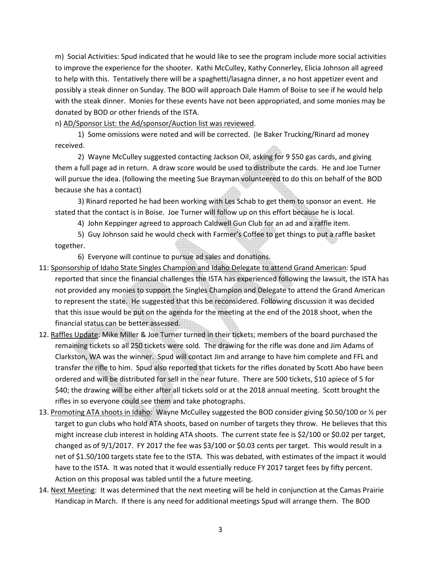m) Social Activities: Spud indicated that he would like to see the program include more social activities to improve the experience for the shooter. Kathi McCulley, Kathy Connerley, Elicia Johnson all agreed to help with this. Tentatively there will be a spaghetti/lasagna dinner, a no host appetizer event and possibly a steak dinner on Sunday. The BOD will approach Dale Hamm of Boise to see if he would help with the steak dinner. Monies for these events have not been appropriated, and some monies may be donated by BOD or other friends of the ISTA.

## n) AD/Sponsor List: the Ad/sponsor/Auction list was reviewed.

 1) Some omissions were noted and will be corrected. (Ie Baker Trucking/Rinard ad money received.

 2) Wayne McCulley suggested contacting Jackson Oil, asking for 9 \$50 gas cards, and giving them a full page ad in return. A draw score would be used to distribute the cards. He and Joe Turner will pursue the idea. (following the meeting Sue Brayman volunteered to do this on behalf of the BOD because she has a contact)

 3) Rinard reported he had been working with Les Schab to get them to sponsor an event. He stated that the contact is in Boise. Joe Turner will follow up on this effort because he is local.

4) John Keppinger agreed to approach Caldwell Gun Club for an ad and a raffle item.

 5) Guy Johnson said he would check with Farmer's Coffee to get things to put a raffle basket together.

6) Everyone will continue to pursue ad sales and donations.

- 11: Sponsorship of Idaho State Singles Champion and Idaho Delegate to attend Grand American: Spud reported that since the financial challenges the ISTA has experienced following the lawsuit, the ISTA has not provided any monies to support the Singles Champion and Delegate to attend the Grand American to represent the state. He suggested that this be reconsidered. Following discussion it was decided that this issue would be put on the agenda for the meeting at the end of the 2018 shoot, when the financial status can be better assessed.
- 12. Raffles Update: Mike Miller & Joe Turner turned in their tickets; members of the board purchased the remaining tickets so all 250 tickets were sold. The drawing for the rifle was done and Jim Adams of Clarkston, WA was the winner. Spud will contact Jim and arrange to have him complete and FFL and transfer the rifle to him. Spud also reported that tickets for the rifles donated by Scott Abo have been ordered and will be distributed for sell in the near future. There are 500 tickets, \$10 apiece of 5 for \$40; the drawing will be either after all tickets sold or at the 2018 annual meeting. Scott brought the rifles in so everyone could see them and take photographs.
- 13. Promoting ATA shoots in Idaho: Wayne McCulley suggested the BOD consider giving \$0.50/100 or ½ per target to gun clubs who hold ATA shoots, based on number of targets they throw. He believes that this might increase club interest in holding ATA shoots. The current state fee is \$2/100 or \$0.02 per target, changed as of 9/1/2017. FY 2017 the fee was \$3/100 or \$0.03 cents per target. This would result in a net of \$1.50/100 targets state fee to the ISTA. This was debated, with estimates of the impact it would have to the ISTA. It was noted that it would essentially reduce FY 2017 target fees by fifty percent. Action on this proposal was tabled until the a future meeting.
- 14. Next Meeting: It was determined that the next meeting will be held in conjunction at the Camas Prairie Handicap in March. If there is any need for additional meetings Spud will arrange them. The BOD